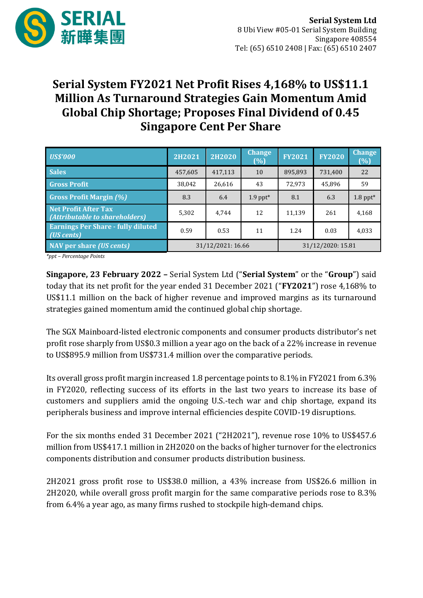

## **Serial System FY2021 Net Profit Rises 4,168% to US\$11.1 Million As Turnaround Strategies Gain Momentum Amid Global Chip Shortage; Proposes Final Dividend of 0.45 Singapore Cent Per Share**

| <b>US\$'000</b>                                               | 2H2021            | <b>2H2020</b> | <b>Change</b><br>(%)   | <b>FY2021</b>     | <b>FY2020</b> | <b>Change</b><br>(%) |
|---------------------------------------------------------------|-------------------|---------------|------------------------|-------------------|---------------|----------------------|
| <b>Sales</b>                                                  | 457,605           | 417.113       | 10                     | 895,893           | 731,400       | 22                   |
| <b>Gross Profit</b>                                           | 38,042            | 26,616        | 43                     | 72,973            | 45,896        | 59                   |
| <b>Gross Profit Margin (%)</b>                                | 8.3               | 6.4           | $1.9$ ppt <sup>*</sup> | 8.1               | 6.3           | $1.8$ ppt*           |
| <b>Net Profit After Tax</b><br>(Attributable to shareholders) | 5.302             | 4.744         | 12                     | 11.139            | 261           | 4.168                |
| <b>Earnings Per Share - fully diluted</b><br>(US cents)       | 0.59              | 0.53          | 11                     | 1.24              | 0.03          | 4,033                |
| <b>NAV</b> per share ( <i>US</i> cents)                       | 31/12/2021: 16.66 |               |                        | 31/12/2020: 15.81 |               |                      |

*\*ppt – Percentage Points*

**Singapore, 23 February 2022 –** Serial System Ltd ("**Serial System**" or the "**Group**") said today that its net profit for the year ended 31 December 2021 ("**FY2021**") rose 4,168% to US\$11.1 million on the back of higher revenue and improved margins as its turnaround strategies gained momentum amid the continued global chip shortage.

The SGX Mainboard-listed electronic components and consumer products distributor's net profit rose sharply from US\$0.3 million a year ago on the back of a 22% increase in revenue to US\$895.9 million from US\$731.4 million over the comparative periods.

Its overall gross profit margin increased 1.8 percentage points to 8.1% in FY2021 from 6.3% in FY2020, reflecting success of its efforts in the last two years to increase its base of customers and suppliers amid the ongoing U.S.-tech war and chip shortage, expand its peripherals business and improve internal efficiencies despite COVID-19 disruptions.

For the six months ended 31 December 2021 ("2H2021"), revenue rose 10% to US\$457.6 million from US\$417.1 million in 2H2020 on the backs of higher turnover for the electronics components distribution and consumer products distribution business.

2H2021 gross profit rose to US\$38.0 million, a 43% increase from US\$26.6 million in 2H2020, while overall gross profit margin for the same comparative periods rose to 8.3% from 6.4% a year ago, as many firms rushed to stockpile high-demand chips.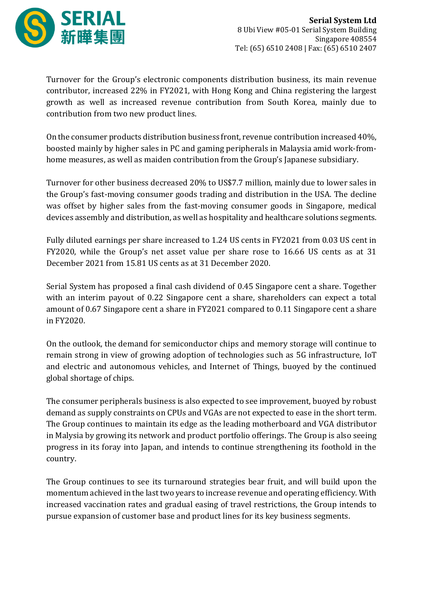

Turnover for the Group's electronic components distribution business, its main revenue contributor, increased 22% in FY2021, with Hong Kong and China registering the largest growth as well as increased revenue contribution from South Korea, mainly due to contribution from two new product lines.

On the consumer products distribution business front, revenue contribution increased 40%, boosted mainly by higher sales in PC and gaming peripherals in Malaysia amid work-fromhome measures, as well as maiden contribution from the Group's Japanese subsidiary.

Turnover for other business decreased 20% to US\$7.7 million, mainly due to lower sales in the Group's fast-moving consumer goods trading and distribution in the USA. The decline was offset by higher sales from the fast-moving consumer goods in Singapore, medical devices assembly and distribution, as well as hospitality and healthcare solutions segments.

Fully diluted earnings per share increased to 1.24 US cents in FY2021 from 0.03 US cent in FY2020, while the Group's net asset value per share rose to 16.66 US cents as at 31 December 2021 from 15.81 US cents as at 31 December 2020.

Serial System has proposed a final cash dividend of 0.45 Singapore cent a share. Together with an interim payout of 0.22 Singapore cent a share, shareholders can expect a total amount of 0.67 Singapore cent a share in FY2021 compared to 0.11 Singapore cent a share in FY2020.

On the outlook, the demand for semiconductor chips and memory storage will continue to remain strong in view of growing adoption of technologies such as 5G infrastructure, IoT and electric and autonomous vehicles, and Internet of Things, buoyed by the continued global shortage of chips.

The consumer peripherals business is also expected to see improvement, buoyed by robust demand as supply constraints on CPUs and VGAs are not expected to ease in the short term. The Group continues to maintain its edge as the leading motherboard and VGA distributor in Malysia by growing its network and product portfolio offerings. The Group is also seeing progress in its foray into Japan, and intends to continue strengthening its foothold in the country.

The Group continues to see its turnaround strategies bear fruit, and will build upon the momentum achieved in the last two years to increase revenue and operating efficiency. With increased vaccination rates and gradual easing of travel restrictions, the Group intends to pursue expansion of customer base and product lines for its key business segments.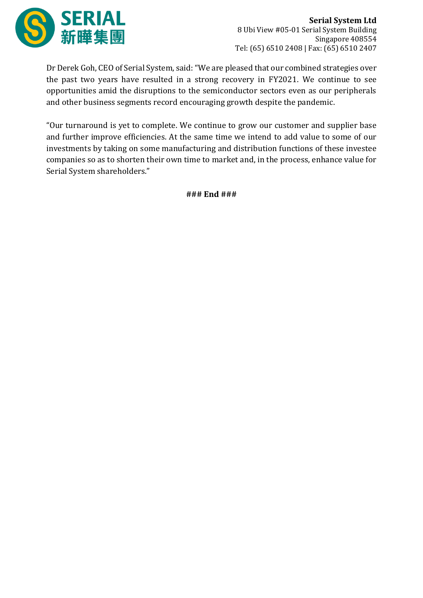

Dr Derek Goh, CEO of Serial System, said: "We are pleased that our combined strategies over the past two years have resulted in a strong recovery in FY2021. We continue to see opportunities amid the disruptions to the semiconductor sectors even as our peripherals and other business segments record encouraging growth despite the pandemic.

"Our turnaround is yet to complete. We continue to grow our customer and supplier base and further improve efficiencies. At the same time we intend to add value to some of our investments by taking on some manufacturing and distribution functions of these investee companies so as to shorten their own time to market and, in the process, enhance value for Serial System shareholders."

**### End ###**